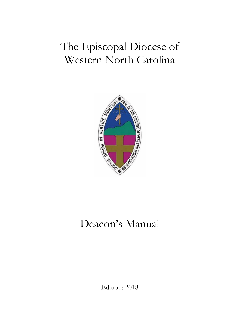# The Episcopal Diocese of Western North Carolina



# Deacon's Manual

Edition: 2018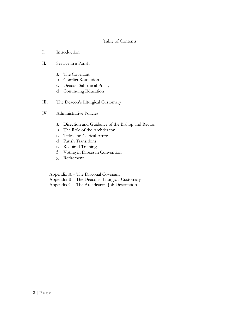# Table of Contents

- I. Introduction
- II. Service in a Parish
	- a. The Covenant
	- b. Conflict Resolution
	- c. Deacon Sabbatical Policy
	- d. Continuing Education
- III. The Deacon's Liturgical Customary
- IV. Administrative Policies
	- a. Direction and Guidance of the Bishop and Rector
	- b. The Role of the Archdeacon
	- c. Titles and Clerical Attire
	- d. Parish Transitions
	- e. Required Trainings
	- f. Voting in Diocesan Convention
	- g. Retirement

Appendix A – The Diaconal Covenant

Appendix B – The Deacons' Liturgical Customary

Appendix C – The Archdeacon Job Description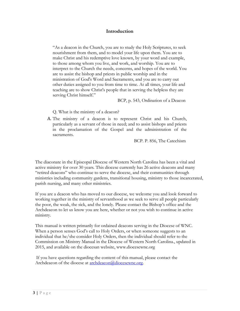# **Introduction**

"As a deacon in the Church, you are to study the Holy Scriptures, to seek nourishment from them, and to model your life upon them. You are to make Christ and his redemptive love known, by your word and example, to those among whom you live, and work, and worship. You are to interpret to the Church the needs, concerns, and hopes of the world. You are to assist the bishop and priests in public worship and in the ministration of God's Word and Sacraments, and you are to carry out other duties assigned to you from time to time. At all times, your life and teaching are to show Christ's people that in serving the helpless they are serving Christ himself."

BCP, p. 543, Ordination of a Deacon

Q. What is the ministry of a deacon?

A. The ministry of a deacon is to represent Christ and his Church, particularly as a servant of those in need; and to assist bishops and priests in the proclamation of the Gospel and the administration of the sacraments.

BCP. P. 856, The Catechism

The diaconate in the Episcopal Diocese of Western North Carolina has been a vital and active ministry for over 30 years. This diocese currently has 26 active deacons and many "retired deacons" who continue to serve the diocese, and their communities through ministries including community gardens, transitional housing, ministry to those incarcerated, parish nursing, and many other ministries.

If you are a deacon who has moved to our diocese, we welcome you and look forward to working together in the ministry of servanthood as we seek to serve all people particularly the poor, the weak, the sick, and the lonely. Please contact the Bishop's office and the Archdeacon to let us know you are here, whether or not you wish to continue in active ministry.

This manual is written primarily for ordained deacons serving in the Diocese of WNC. When a person senses God's call to Holy Orders, or when someone suggests to an individual that he/she consider Holy Orders, then the individual should refer to the Commission on Ministry Manual in the Diocese of Western North Carolina., updated in 2015, and available on the diocesan website, [www.diocesewnc.org](http://www.diocesewnc.org/)

If you have questions regarding the content of this manual, please contact the Archdeacon of the diocese at [archdeacon@diocesewnc.org.](mailto:archdeacon@diocesewnc.org)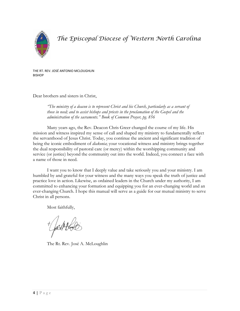

*The Episcopal Diocese of Western North Carolina*

THE RT. REV. JOSÉ ANTONIO MCLOUGHLIN **BISHOP** 

Dear brothers and sisters in Christ,

*"The ministry of a deacon is to represent Christ and his Church, particularly as a servant of those in need; and to assist bishops and priests in the proclamation of the Gospel and the administration of the sacraments." Book of Common Prayer, pg. 856*

Many years ago, the Rev. Deacon Chris Greer changed the course of my life. His mission and witness inspired my sense of call and shaped my ministry to fundamentally reflect the servanthood of Jesus Christ. Today, you continue the ancient and significant tradition of being the iconic embodiment of *diakonia*; your vocational witness and ministry brings together the dual responsibility of pastoral care (or mercy) within the worshipping community and service (or justice) beyond the community out into the world. Indeed, you connect a face with a name of those in need.

I want you to know that I deeply value and take seriously you and your ministry. I am humbled by and grateful for your witness and the many ways you speak the truth of justice and practice love in action. Likewise, as ordained leaders in the Church under my authority, I am committed to enhancing your formation and equipping you for an ever-changing world and an ever-changing Church. I hope this manual will serve as a guide for our mutual ministry to serve Christ in all persons.

Most faithfully,

The Rt. Rev. José A. McLoughlin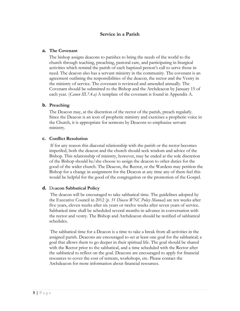# **Service in a Parish**

## **a. The Covenant**

The bishop assigns deacons to parishes to bring the needs of the world to the church through teaching, preaching, pastoral care, and participating in liturgical activities which remind the parish of each baptized person's call to serve those in need. The deacon also has a servant ministry in the community. The covenant is an agreement outlining the responsibilities of the deacon, the rector and the Vestry in the ministry of service. The covenant is reviewed and amended annually. The Covenant should be submitted to the Bishop and the Archdeacon by January 15 of each year. (*Canon III.7.4.a)* A template of the covenant is found in Appendix A.

# **b. Preaching**

The Deacon may, at the discretion of the rector of the parish, preach regularly. Since the Deacon is an icon of prophetic ministry and exercises a prophetic voice in the Church, it is appropriate for sermons by Deacons to emphasize servant ministry.

## **c. Conflict Resolution**

If for any reason this diaconal relationship with the parish or the rector becomes imperiled, both the deacon and the church should seek wisdom and advice of the Bishop. This relationship of ministry, however, may be ended at the sole discretion of the Bishop should he/she choose to assign the deacon to other duties for the good of the wider church. The Deacon, the Rector, or the Wardens may petition the Bishop for a change in assignment for the Deacon at any time any of them feel this would be helpful for the good of the congregation or the promotion of the Gospel.

## **d.** De**acon Sabbatical Policy**

The deacon will be encouraged to take sabbatical time. The guidelines adopted by the Executive Council in 2012 (*p. 31 Diocese WNC Policy Manual)* are ten weeks after five years, eleven weeks after six years or twelve weeks after seven years of service. Sabbatical time shall be scheduled several months in advance in conversation with the rector and vestry. The Bishop and Archdeacon should be notified of sabbatical schedules.

The sabbatical time for a Deacon is a time to take a break from all activities in the assigned parish. Deacons are encouraged to set at least one goal for the sabbatical; a goal that allows them to go deeper in their spiritual life. The goal should be shared with the Rector prior to the sabbatical, and a time scheduled with the Rector after the sabbatical to reflect on the goal. Deacons are encouraged to apply for financial resources to cover the cost of retreats, workshops, etc. Please contact the Archdeacon for more information about financial resources.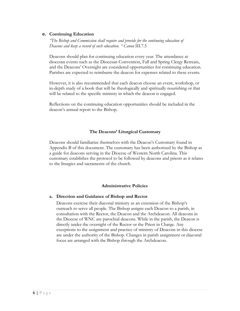#### **e. Continuing Education**

*"The Bishop and Commission shall require and provide for the continuing education of Deacons and keep a record of such education. " Canon* III.7.5

Deacons should plan for continuing education every year. The attendance at diocesan events such as the Diocesan Convention, Fall and Spring Clergy Retreats, and the Deacons' Overnight are considered opportunities for continuing education. Parishes are expected to reimburse the deacon for expenses related to these events.

However, it is also recommended that each deacon choose an event, workshop, or in-depth study of a book that will be theologically and spiritually nourishing or that will be related to the specific ministry in which the deacon is engaged.

Reflections on the continuing education opportunities should be included in the deacon's annual report to the Bishop.

## **The Deacons' Liturgical Customary**

Deacons should familiarize themselves with the Deacon's Customary found in Appendix B of this document. The customary has been authorized by the Bishop as a guide for deacons serving in the Diocese of Western North Carolina. This customary establishes the protocol to be followed by deacons and priests as it relates to the liturgies and sacraments of the church.

## **Administrative Policies**

## **a. Direction and Guidance of Bishop and Rector**

Deacons exercise their diaconal ministry as an extension of the Bishop's outreach to serve all people. The Bishop assigns each Deacon to a parish, in consultation with the Rector, the Deacon and the Archdeacon. All deacons in the Diocese of WNC are parochial deacons. While in the parish, the Deacon is directly under the oversight of the Rector or the Priest in Charge. Any exceptions to the assignment and practice of ministry of Deacons in this diocese are under the authority of the Bishop. Changes in parish assignment or diaconal focus are arranged with the Bishop through the Archdeacon.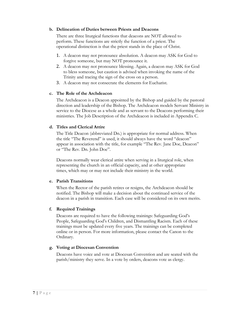## **b. Delineation of Duties between Priests and Deacons**

There are three liturgical functions that deacons are NOT allowed to perform. These functions are strictly the function of a priest. The operational distinction is that the priest stands in the place of Christ.

- 1. A deacon may not pronounce absolution. A deacon may ASK for God to forgive someone, but may NOT pronounce it.
- 2. A deacon may not pronounce blessing. Again, a deacon may ASK for God to bless someone, but caution is advised when invoking the name of the Trinity and tracing the sign of the cross on a person.
- 3. A deacon may not consecrate the elements for Eucharist.

# **c. The Role of the Archdeacon**

The Archdeacon is a Deacon appointed by the Bishop and guided by the pastoral direction and leadership of the Bishop. The Archdeacon models Servant Ministry in service to the Diocese as a whole and as servant to the Deacons performing their ministries. The Job Description of the Archdeacon is included in Appendix C.

# **d. Titles and Clerical Attire**

The Title Deacon (abbreviated Dn.) is appropriate for normal address. When the title "The Reverend" is used, it should always have the word "deacon" appear in association with the title, for example "The Rev. Jane Doe, Deacon" or "The Rev. Dn. John Doe".

Deacons normally wear clerical attire when serving in a liturgical role, when representing the church in an official capacity, and at other appropriate times, which may or may not include their ministry in the world.

# **e. Parish Transitions**

When the Rector of the parish retires or resigns, the Archdeacon should be notified. The Bishop will make a decision about the continued service of the deacon in a parish in transition. Each case will be considered on its own merits.

# **f. Required Trainings**

Deacons are required to have the following trainings: Safeguarding God's People, Safeguarding God's Children, and Dismantling Racism. Each of these trainings must be updated every five years. The trainings can be completed online or in person. For more information, please contact the Canon to the Ordinary.

## **g. Voting at Diocesan Convention**

Deacons have voice and vote at Diocesan Convention and are seated with the parish/ministry they serve. In a vote by orders, deacons vote as clergy.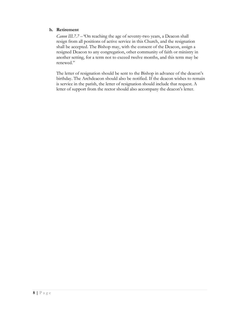# **h. Retirement**

*Canon III.7.7 –"*On reaching the age of seventy-two years, a Deacon shall resign from all positions of active service in this Church, and the resignation shall be accepted. The Bishop may, with the consent of the Deacon, assign a resigned Deacon to any congregation, other community of faith or ministry in another setting, for a term not to exceed twelve months, and this term may be renewed."

The letter of resignation should be sent to the Bishop in advance of the deacon's birthday. The Archdeacon should also be notified. If the deacon wishes to remain is service in the parish, the letter of resignation should include that request. A letter of support from the rector should also accompany the deacon's letter.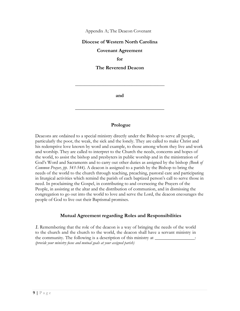Appendix A; The Deacon Covenant

# **Diocese of Western North Carolina**

## **Covenant Agreement**

**for**

**The Reverend Deacon**

**and**

**\_\_\_\_\_\_\_\_\_\_\_\_\_\_\_\_\_\_\_\_\_\_\_\_\_\_\_\_\_\_\_\_\_\_\_**

**\_\_\_\_\_\_\_\_\_\_\_\_\_\_\_\_\_\_\_\_\_\_\_\_\_\_\_\_\_\_\_\_\_\_\_\_\_\_**

## **Prologue**

Deacons are ordained to a special ministry directly under the Bishop to serve all people, particularly the poor, the weak, the sick and the lonely. They are called to make Christ and his redemptive love known by word and example, to those among whom they live and work and worship. They are called to interpret to the Church the needs, concerns and hopes of the world, to assist the bishop and presbyters in public worship and in the ministration of God's Word and Sacraments and to carry out other duties as assigned by the bishop *(Book of Common Prayer, pp. 543-544).* A deacon is assigned to a parish by the Bishop to bring the needs of the world to the church through teaching, preaching, pastoral care and participating in liturgical activities which remind the parish of each baptized person's call to serve those in need. In proclaiming the Gospel, in contributing to and overseeing the Prayers of the People, in assisting at the altar and the distribution of communion, and in dismissing the congregation to go out into the world to love and serve the Lord, the deacon encourages the people of God to live out their Baptismal promises.

# **Mutual Agreement regarding Roles and Responsibilities**

*1.* Remembering that the role of the deacon is a way of bringing the needs of the world to the church and the church to the world, the deacon shall have a servant ministry in the community. The following is a description of this ministry at \_\_\_\_\_\_\_\_\_\_\_\_\_\_ *(provide your ministry focus and mutual goals at your assigned parish)*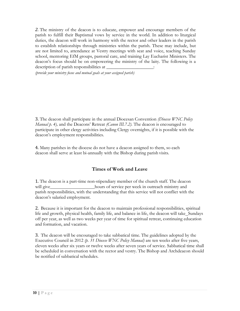*2.* The ministry of the deacon is to educate, empower and encourage members of the parish to fulfill their Baptismal vows by service in the world. In addition to liturgical duties, the deacon will work in harmony with the rector and other leaders in the parish to establish relationships through ministries within the parish. These may include, but are not limited to, attendance at Vestry meetings with seat and voice, teaching Sunday school, mentoring EfM groups, pastoral care, and training Lay Eucharist Ministers. The deacon's focus should be on empowering the ministry of the laity. The following is a description of parish responsibilities at

*(provide your ministry focus and mutual goals at your assigned parish)*

3. The deacon shall participate in the annual Diocesan Convention *(Diocese WNC Policy Manual p. 4),* and the Deacons' Retreat *(Canon III.7.2).* The deacon is encouraged to participate in other clergy activities including Clergy overnights, if it is possible with the deacon's employment responsibilities.

4. Many parishes in the diocese do not have a deacon assigned to them, so each deacon shall serve at least bi-annually with the Bishop during parish visits.

# **Times of Work and Leave**

1. The deacon is a part-time non-stipendiary member of the church staff. The deacon will give hours of service per week in outreach ministry and parish responsibilities, with the understanding that this service will not conflict with the deacon's salaried employment.

2. Because it is important for the deacon to maintain professional responsibilities, spiritual life and growth, physical health, family life, and balance in life, the deacon will take Sundays off per year, as well as two weeks per year of time for spiritual retreat, continuing education and formation, and vacation.

3. The deacon will be encouraged to take sabbatical time. The guidelines adopted by the Executive Council in 2012 *(p. 31 Diocese WNC Policy Manual)* are ten weeks after five years, eleven weeks after six years or twelve weeks after seven years of service. Sabbatical time shall be scheduled in conversation with the rector and vestry. The Bishop and Archdeacon should be notified of sabbatical schedules.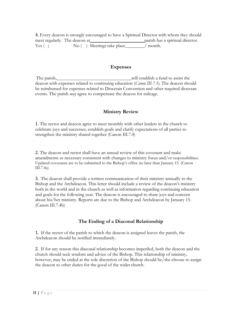4. Every deacon is strongly encouraged to have a Spiritual Director with whom they should meet regularly. The deacon at parish has a spiritual director.  $Yes ( )$  No  $( )$  Meetings take place  $\overrightarrow{ )}$  month.

# **Expenses**

The parish, will establish a fund to assist the deacon with expenses related to continuing education (*Canon III.7.5).* The deacon should be reimbursed for expenses related to Diocesan Convention and other required diocesan events. The parish *may* agree to compensate the deacon for mileage.

# **Ministry Review**

1. The rector and deacon agree to meet monthly with other leaders in the church to celebrate joys and successes, establish goals and clarify expectations of all parties to strengthen the ministry shared together (Canon III.7.4)

2. The deacon and rector shall have an annual review of this covenant and make amendments as necessary consistent with changes to ministry focus and/or responsibilities. Updated covenants are to be submitted to the Bishop's office no later than January 15. (Canon III.7.4a)

3. The deacon shall provide a written communication of their ministry annually to the Bishop and the Archdeacon. This letter should include a review of the deacon's ministry both in the world and in the church as well as information regarding continuing education and goals for the following year. The deacon is encouraged to share joys and concern about his/her ministry. Reports are due to the Bishop and Archdeacon by January 15. (Canon III.7.4b)

# **The Ending of a Diaconal Relationship**

1. If the rector of the parish to which the deacon is assigned leaves the parish, the Archdeacon should be notified immediately.

2. If for any reason this diaconal relationship becomes imperiled, both the deacon and the church should seek wisdom and advice of the Bishop. This relationship of ministry, however, may be ended at the sole discretion of the Bishop should he/she choose to assign the deacon to other duties for the good of the wider church.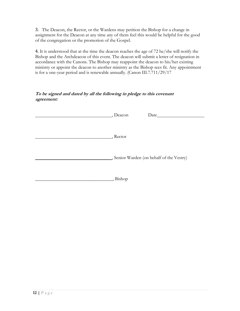3. The Deacon, the Rector, or the Wardens may petition the Bishop for a change in assignment for the Deacon at any time any of them feel this would be helpful for the good of the congregation or the promotion of the Gospel.

4. It is understood that at the time the deacon reaches the age of 72 he/she will notify the Bishop and the Archdeacon of this event. The deacon will submit a letter of resignation in accordance with the Canons. The Bishop may reappoint the deacon to his/her existing ministry or appoint the deacon to another ministry as the Bishop sees fit. Any appointment is for a one-year period and is renewable annually. (Canon III.7.711/29/17

# **To be signed and dated by all the following in pledge to this covenant agreement:**

| , Deacon        | Date                                       |
|-----------------|--------------------------------------------|
|                 |                                            |
|                 |                                            |
| $R$ ector       |                                            |
|                 |                                            |
|                 |                                            |
|                 | _, Senior Warden (on behalf of the Vestry) |
|                 |                                            |
|                 |                                            |
| $\Box$ , Bishop |                                            |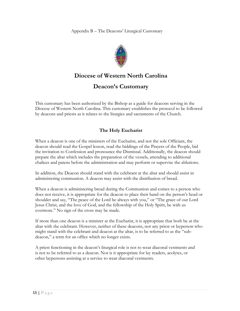Appendix B – The Deacons' Liturgical Customary



# **Diocese of Western North Carolina**

# **Deacon's Customary**

This customary has been authorized by the Bishop as a guide for deacons serving in the Diocese of Western North Carolina. This customary establishes the protocol to be followed by deacons and priests as it relates to the liturgies and sacraments of the Church.

# **The Holy Eucharist**

When a deacon is one of the ministers of the Eucharist, and not the sole Officiant, the deacon should read the Gospel lesson, read the biddings of the Prayers of the People, bid the invitation to Confession and pronounce the Dismissal. Additionally, the deacon should prepare the altar which includes the preparation of the vessels, attending to additional chalices and patens before the administration and may perform or supervise the ablutions.

In addition, the Deacon should stand with the celebrant at the altar and should assist in administering communion. A deacon may assist with the distribution of bread.

When a deacon is administering bread during the Communion and comes to a person who does not receive, it is appropriate for the deacon to place their hand on the person's head or shoulder and say, "The peace of the Lord be always with you," or "The grace of our Lord Jesus Christ, and the love of God, and the fellowship of the Holy Spirit, be with us evermore." No sign of the cross may be made.

If more than one deacon is a minister at the Eucharist, it is appropriate that both be at the altar with the celebrant. However, neither of these deacons, nor any priest or layperson who might stand with the celebrant and deacon at the altar, is to be referred to as the "subdeacon," a term for an office which no longer exists.

A priest functioning in the deacon's liturgical role is not to wear diaconal vestments and is not to be referred to as a deacon. Nor is it appropriate for lay readers, acolytes, or other laypersons assisting at a service to wear diaconal vestments.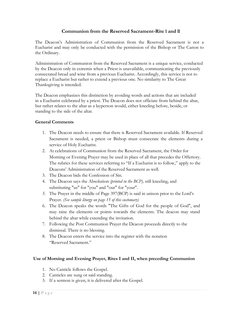# **Communion from the Reserved Sacrament-Rite l and ll**

The Deacon's Administration of Communion from the Reserved Sacrament is not a Eucharist and may only be conducted with the permission of the Bishop or The Canon to the Ordinary.

Administration of Communion from the Reserved Sacrament is a unique service, conducted by the Deacon only in extremis when a Priest is unavailable, communicating the previously consecrated bread and wine from a previous Eucharist. Accordingly, this service is not to replace a Eucharist but rather to extend a previous one. No similarity to The Great Thanksgiving is intended.

The Deacon emphasizes this distinction by avoiding words and actions that are included in a Eucharist celebrated by a priest. The Deacon does not officiate from behind the altar, but rather relates to the altar as a layperson would, either kneeling before, beside, or standing to the side of the altar.

# **General Comments**

- 1. The Deacon needs to ensure that there is Reserved Sacrament available. If Reserved Sacrament is needed, a priest or Bishop must consecrate the elements during a service of Holy Eucharist.
- 2. At celebrations of Communion from the Reserved Sacrament, the Order for Morning or Evening Prayer may be used in place of all that precedes the Offertory. The rubrics for these services referring to "If a Eucharist is to follow," apply to the Deacons' Administration of the Reserved Sacrament as well.
- 3. The Deacon bids the Confession of Sin.
- 4. The Deacon says the Absolution *(printed in the BCP),* still kneeling, and substituting "us" for "you" and "our" for "your".
- *5.* The Prayer in the middle of Page 397(BCP) is said in unison prior to the Lord's Prayer. *(See sample liturgy on page 15 of this customary)*
- 6. The Deacon speaks the words "The Gifts of God for the people of God", and may raise the elements or points towards the elements. The deacon may stand behind the altar while extending the invitation.
- 7. Following the Post Communion Prayer the Deacon proceeds directly to the dismissal. There is no blessing.
- 8. The Deacon enters the service into the register with the notation "Reserved Sacrament."

# **Use of Morning and Evening Prayer, Rites I and II, when preceding Communion**

- 1. No Canticle follows the Gospel.
- 2. Canticles are sung or said standing.
- 3. If a sermon is given, it is delivered after the Gospel.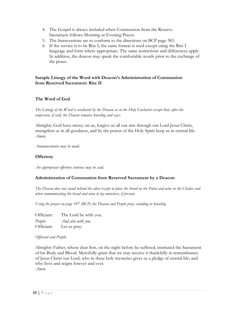- 4. The Gospel is always included when Communion from the Reserve Sacrament follows Morning or Evening Prayer.
- 5. The Intercessions are to conform to the directions on BCP page 383.
- 6. If the service is to be Rite I, the same format is used except using the Rite I language and form where appropriate. The same restrictions and differences apply. In addition, the deacon may speak the comfortable words prior to the exchange of the peace.

# **Sample Liturgy of the Word with Deacon's Administration of Communion from Reserved Sacrament: Rite II**

# **The Word of God**

*The Liturgy of the Word is conducted by the Deacon as in the Holy Eucharist except that, after the confession, if said, the Deacon remains kneeling and says:*

Almighty God have mercy on us, forgive us all our sins through our Lord Jesus Christ, strengthen us in all goodness, and by the power of the Holy Spirit keep us in eternal life. *Amen.*

*Announcements may be made*

# **Offertory**

*An appropriate offertory sentence may be said.*

## **Administration of Communion from Reserved Sacrament by a Deacon**

*The Deacon does not stand behind the altar except to place the bread on the Paten and wine in the Chalice and when communicating the bread and wine to lay ministers, if present.*

*Using the prayer on page 397 (BCP) the Deacon and People pray, standing or kneeling* 

| Officiant: | The Lord be with you. |
|------------|-----------------------|
| People:    | And also with you.    |
| Officiant: | Let us pray.          |

## *Officiant and People:*

Almighty Father, whose dear Son, on the night before he suffered, instituted the Sacrament of his Body and Blood: Mercifully grant that we may receive it thankfully in remembrance of Jesus Christ our Lord, who in these holy mysteries gives us a pledge of eternal life; and who lives and reigns forever and ever. *Amen.*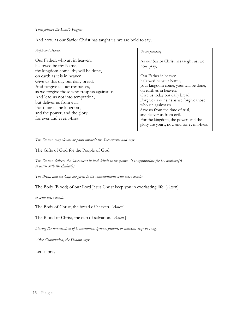#### *Then follows the Lord's Prayer:*

And now, as our Savior Christ has taught us, we are bold to say,

#### *People and Deacon:*

Our Father, who art in heaven, hallowed be thy Name, thy kingdom come, thy will be done, on earth as it is in heaven. Give us this day our daily bread. And forgive us our trespasses, as we forgive those who trespass against us. And lead us not into temptation, but deliver us from evil. For thine is the kingdom, and the power, and the glory, for ever and ever. *Amen.*

#### *Or the following*

As our Savior Christ has taught us, we now pray,

Our Father in heaven, hallowed be your Name, your kingdom come, your will be done, on earth as in heaven. Give us today our daily bread. Forgive us our sins as we forgive those who sin against us. Save us from the time of trial, and deliver us from evil. For the kingdom, the power, and the glory are yours, now and for ever. *Amen.*

*The Deacon may elevate or point towards the Sacraments and says:*

The Gifts of God for the People of God.

*The Deacon delivers the Sacrament in both kinds to the people. It is appropriate for lay minister(s) to assist with the chalice(s).*

*The Bread and the Cup are given to the communicants with these words:*

The Body (Blood) of our Lord Jesus Christ keep you in everlasting life. [*Amen.*]

*or with these words:*

The Body of Christ, the bread of heaven. [*Amen.*]

The Blood of Christ, the cup of salvation. [*Amen.*]

*During the ministration of Communion, hymns, psalms, or anthems may be sung.* 

*After Communion, the Deacon says:*

Let us pray.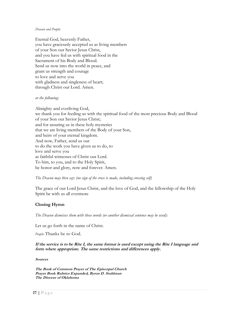#### *Deacon and People:*

Eternal God, heavenly Father, you have graciously accepted us as living members of your Son our Savior Jesus Christ, and you have fed us with spiritual food in the Sacrament of his Body and Blood. Send us now into the world in peace, and grant us strength and courage to love and serve you with gladness and singleness of heart; through Christ our Lord. Amen.

#### *or the following:*

Almighty and everliving God, we thank you for feeding us with the spiritual food of the most precious Body and Blood of your Son our Savior Jesus Christ; and for assuring us in these holy mysteries that we are living members of the Body of your Son, and heirs of your eternal kingdom. And now, Father, send us out to do the work you have given us to do, to love and serve you as faithful witnesses of Christ our Lord. To him, to you, and to the Holy Spirit, be honor and glory, now and forever. Amen.

#### *The Deacon may then say: (no sign of the cross is made, including crossing self)*

The grace of our Lord Jesus Christ, and the love of God, and the fellowship of the Holy Spirit be with us all evermore

## **Closing Hymn**

*The Deacon dismisses them with these words (or another dismissal sentence may be used):*

Let us go forth in the name of Christ.

*People:* Thanks be to God.

**If the service is to be Rite I, the same format is used except using the Rite I language and form where appropriate. The same restrictions and differences apply.**

#### **Sources**

**The Book of Common Prayer of The Episcopal Church Prayer Book Rubrics Expanded, Byron D. Stuhlman The Diocese of Oklahoma**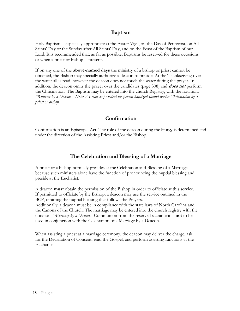# **Baptism**

Holy Baptism is especially appropriate at the Easter Vigil, on the Day of Pentecost, on All Saints' Day or the Sunday after All Saints' Day, and on the Feast of the Baptism of our Lord. It is recommended that, as far as possible, Baptisms be reserved for these occasions or when a priest or bishop is present.

If on any one of the **above-named days** the ministry of a bishop or priest cannot be obtained, the Bishop may specially authorize a deacon to preside. At the Thanksgiving over the water all is read, however the deacon does not touch the water during the prayer. In addition, the deacon omits the prayer over the candidates (page 308) and **does not** perform the Chrismation. The Baptism may be entered into the church Registry, with the notation, *"Baptism by a Deacon." Note: As soon as practical the person baptized should receive Chrismation by a priest or bishop.*

# **Confirmation**

Confirmation is an Episcopal Act. The role of the deacon during the liturgy is determined and under the direction of the Assisting Priest and/or the Bishop.

# **The Celebration and Blessing of a Marriage**

A priest or a bishop normally presides at the Celebration and Blessing of a Marriage, because such ministers alone have the function of pronouncing the nuptial blessing and preside at the Eucharist.

A deacon **must** obtain the permission of the Bishop in order to officiate at this service. If permitted to officiate by the Bishop, a deacon may use the service outlined in the BCP, omitting the nuptial blessing that follows the Prayers.

Additionally, a deacon must be in compliance with the state laws of North Carolina and the Canons of the Church. The marriage may be entered into the church registry with the notation, *"Marriage by a Deacon."* Communion from the reserved sacrament is **not** to be used in conjunction with the Celebration of a Marriage by a Deacon.

When assisting a priest at a marriage ceremony, the deacon may deliver the charge, ask for the Declaration of Consent, read the Gospel, and perform assisting functions at the Eucharist.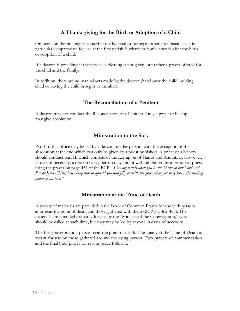# **A Thanksgiving for the Birth or Adoption of a Child**

On occasion the rite might be used in the hospital or home; in other circumstances, it is particularly appropriate for use at the first parish Eucharist a family attends after the birth or adoption of a child.

If a deacon is presiding at the service, a blessing is not given, but rather a prayer offered for the child and the family.

In addition, there are no manual acts made by the deacon (hand over the child, holding child or having the child brought to the altar).

# **The Reconciliation of a Penitent**

A deacon may not conduct the Reconciliation of a Penitent. Only a priest or bishop may give absolution.

# **Ministration to the Sick**

Part I of this office may be led by a deacon or a lay person, with the exception of the absolution at the end which can only be given by a priest or bishop. A priest or a bishop should conduct part II, which consists of the Laying on of Hands and Anointing. However, in case of necessity, a deacon or lay person may anoint with oil blessed by a bishop or priest using the prayer on page 456 of the BCP, "*I lay my hands upon you in the Name of our Lord and Savior Jesus Christ, beseeching him to uphold you and fill you with his grace, that you may know the healing power of his love."*

# **Ministration at the Time of Death**

A variety of materials are provided in the Book of Common Prayer for use with persons at or near the point of death and those gathered with them (BCP pg. 462-467). The materials are intended primarily for use by the "Minister of the Congregation," who should be called at such time, but they may be led by anyone in cases of necessity.

The first prayer is for a person near the point of death. The Litany at the Time of Death is meant for use by those gathered around the dying person. Two prayers of commendation and the final brief prayer for rest in peace follow it.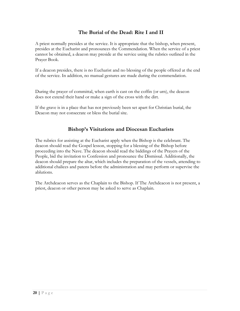# **The Burial of the Dead: Rite I and II**

A priest normally presides at the service. It is appropriate that the bishop, when present, presides at the Eucharist and pronounces the Commendation. When the service of a priest cannot be obtained, a deacon may preside at the service using the rubrics outlined in the Prayer Book.

If a deacon presides, there is no Eucharist and no blessing of the people offered at the end of the service. In addition, no manual gestures are made during the commendation.

During the prayer of committal, when earth is cast on the coffin (or urn), the deacon does not extend their hand or make a sign of the cross with the dirt.

If the grave is in a place that has not previously been set apart for Christian burial, the Deacon may not consecrate or bless the burial site.

# **Bishop's Visitations and Diocesan Eucharists**

The rubrics for assisting at the Eucharist apply when the Bishop is the celebrant. The deacon should read the Gospel lesson, stopping for a blessing of the Bishop before proceeding into the Nave. The deacon should read the biddings of the Prayers of the People, bid the invitation to Confession and pronounce the Dismissal. Additionally, the deacon should prepare the altar, which includes the preparation of the vessels, attending to additional chalices and patens before the administration and may perform or supervise the ablutions.

The Archdeacon serves as the Chaplain to the Bishop. If The Archdeacon is not present, a priest, deacon or other person may be asked to serve as Chaplain.